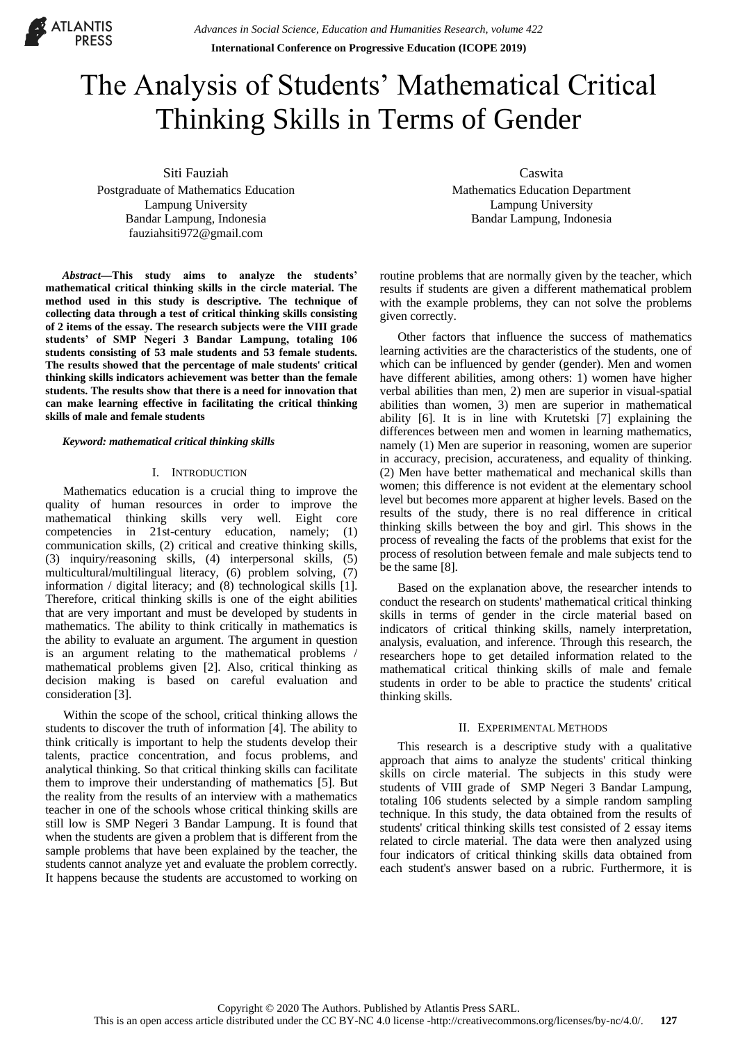

# The Analysis of Students' Mathematical Critical Thinking Skills in Terms of Gender

Siti Fauziah

Postgraduate of Mathematics Education Lampung University Bandar Lampung, Indonesia fauziahsiti972@gmail.com

*Abstract***—This study aims to analyze the students' mathematical critical thinking skills in the circle material. The method used in this study is descriptive. The technique of collecting data through a test of critical thinking skills consisting of 2 items of the essay. The research subjects were the VIII grade students' of SMP Negeri 3 Bandar Lampung, totaling 106 students consisting of 53 male students and 53 female students. The results showed that the percentage of male students' critical thinking skills indicators achievement was better than the female students. The results show that there is a need for innovation that can make learning effective in facilitating the critical thinking skills of male and female students**

*Keyword: mathematical critical thinking skills*

#### I. INTRODUCTION

Mathematics education is a crucial thing to improve the quality of human resources in order to improve the mathematical thinking skills very well. Eight core competencies in 21st-century education, namely; (1) communication skills, (2) critical and creative thinking skills, (3) inquiry/reasoning skills, (4) interpersonal skills, (5) multicultural/multilingual literacy, (6) problem solving, (7) information / digital literacy; and (8) technological skills [1]. Therefore, critical thinking skills is one of the eight abilities that are very important and must be developed by students in mathematics. The ability to think critically in mathematics is the ability to evaluate an argument. The argument in question is an argument relating to the mathematical problems / mathematical problems given [2]. Also, critical thinking as decision making is based on careful evaluation and consideration [3].

Within the scope of the school, critical thinking allows the students to discover the truth of information [4]. The ability to think critically is important to help the students develop their talents, practice concentration, and focus problems, and analytical thinking. So that critical thinking skills can facilitate them to improve their understanding of mathematics [5]. But the reality from the results of an interview with a mathematics teacher in one of the schools whose critical thinking skills are still low is SMP Negeri 3 Bandar Lampung. It is found that when the students are given a problem that is different from the sample problems that have been explained by the teacher, the students cannot analyze yet and evaluate the problem correctly. It happens because the students are accustomed to working on

Caswita Mathematics Education Department Lampung University Bandar Lampung, Indonesia

routine problems that are normally given by the teacher, which results if students are given a different mathematical problem with the example problems, they can not solve the problems given correctly.

Other factors that influence the success of mathematics learning activities are the characteristics of the students, one of which can be influenced by gender (gender). Men and women have different abilities, among others: 1) women have higher verbal abilities than men, 2) men are superior in visual-spatial abilities than women, 3) men are superior in mathematical ability [6]. It is in line with Krutetski [7] explaining the differences between men and women in learning mathematics, namely (1) Men are superior in reasoning, women are superior in accuracy, precision, accurateness, and equality of thinking. (2) Men have better mathematical and mechanical skills than women; this difference is not evident at the elementary school level but becomes more apparent at higher levels. Based on the results of the study, there is no real difference in critical thinking skills between the boy and girl. This shows in the process of revealing the facts of the problems that exist for the process of resolution between female and male subjects tend to be the same [8].

Based on the explanation above, the researcher intends to conduct the research on students' mathematical critical thinking skills in terms of gender in the circle material based on indicators of critical thinking skills, namely interpretation, analysis, evaluation, and inference. Through this research, the researchers hope to get detailed information related to the mathematical critical thinking skills of male and female students in order to be able to practice the students' critical thinking skills.

## II. EXPERIMENTAL METHODS

This research is a descriptive study with a qualitative approach that aims to analyze the students' critical thinking skills on circle material. The subjects in this study were students of VIII grade of SMP Negeri 3 Bandar Lampung, totaling 106 students selected by a simple random sampling technique. In this study, the data obtained from the results of students' critical thinking skills test consisted of 2 essay items related to circle material. The data were then analyzed using four indicators of critical thinking skills data obtained from each student's answer based on a rubric. Furthermore, it is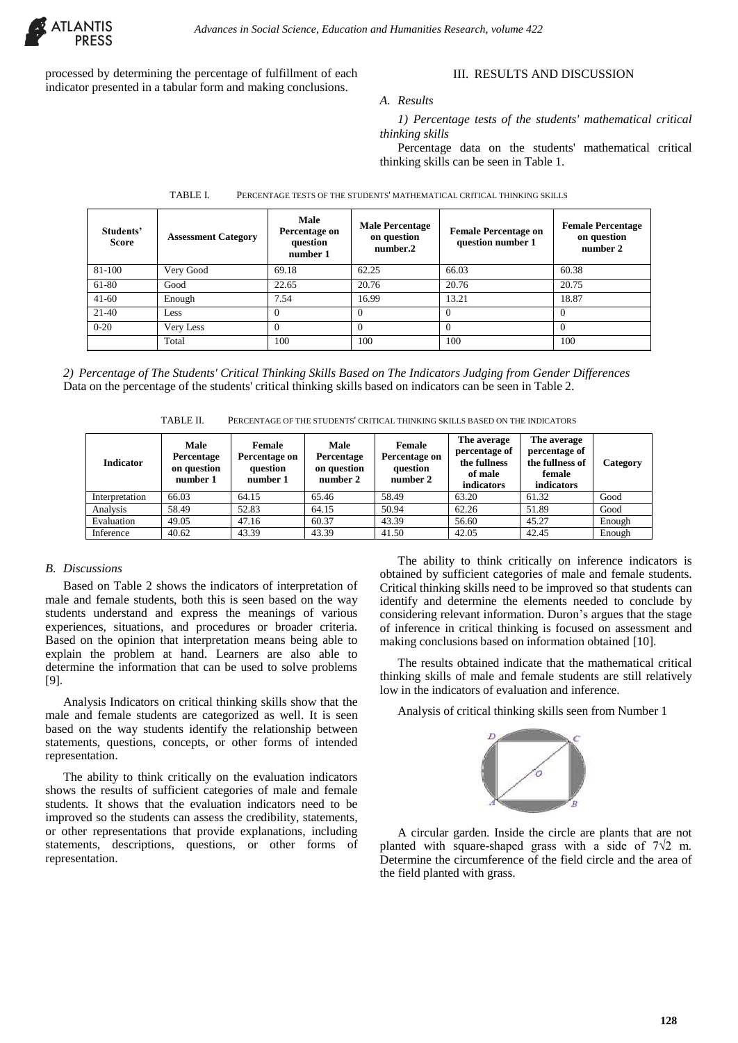

processed by determining the percentage of fulfillment of each indicator presented in a tabular form and making conclusions.

# III. RESULTS AND DISCUSSION

#### *A. Results*

*1) Percentage tests of the students' mathematical critical thinking skills* 

Percentage data on the students' mathematical critical thinking skills can be seen in Table 1.

| Students'<br><b>Score</b> | <b>Assessment Category</b> | <b>Male</b><br>Percentage on<br>question<br>number 1 | <b>Male Percentage</b><br>on question<br>number.2 | <b>Female Percentage on</b><br>question number 1 | <b>Female Percentage</b><br>on question<br>number 2 |
|---------------------------|----------------------------|------------------------------------------------------|---------------------------------------------------|--------------------------------------------------|-----------------------------------------------------|
| 81-100                    | Very Good                  | 69.18                                                | 62.25                                             | 66.03                                            | 60.38                                               |
| 61-80                     | Good                       | 22.65                                                | 20.76                                             | 20.76                                            | 20.75                                               |
| $41 - 60$                 | Enough                     | 7.54                                                 | 16.99                                             | 13.21                                            | 18.87                                               |
| $21-40$                   | Less                       | $\Omega$                                             | $\Omega$                                          |                                                  |                                                     |
| $0 - 20$                  | Very Less                  | $\Omega$                                             | $\Omega$                                          | $\Omega$                                         |                                                     |
|                           | Total                      | 100                                                  | 100                                               | 100                                              | 100                                                 |

TABLE I. PERCENTAGE TESTS OF THE STUDENTS' MATHEMATICAL CRITICAL THINKING SKILLS

*2) Percentage of The Students' Critical Thinking Skills Based on The Indicators Judging from Gender Differences* Data on the percentage of the students' critical thinking skills based on indicators can be seen in Table 2.

TABLE II. PERCENTAGE OF THE STUDENTS' CRITICAL THINKING SKILLS BASED ON THE INDICATORS

| <b>Indicator</b> | Male<br>Percentage<br>on question<br>number 1 | Female<br>Percentage on<br>question<br>number 1 | Male<br>Percentage<br>on question<br>number 2 | Female<br>Percentage on<br>question<br>number 2 | The average<br>percentage of<br>the fullness<br>of male<br>indicators | The average<br>percentage of<br>the fullness of<br>female<br>indicators | Category |
|------------------|-----------------------------------------------|-------------------------------------------------|-----------------------------------------------|-------------------------------------------------|-----------------------------------------------------------------------|-------------------------------------------------------------------------|----------|
| Interpretation   | 66.03                                         | 64.15                                           | 65.46                                         | 58.49                                           | 63.20                                                                 | 61.32                                                                   | Good     |
| Analysis         | 58.49                                         | 52.83                                           | 64.15                                         | 50.94                                           | 62.26                                                                 | 51.89                                                                   | Good     |
| Evaluation       | 49.05                                         | 47.16                                           | 60.37                                         | 43.39                                           | 56.60                                                                 | 45.27                                                                   | Enough   |
| Inference        | 40.62                                         | 43.39                                           | 43.39                                         | 41.50                                           | 42.05                                                                 | 42.45                                                                   | Enough   |

# *B. Discussions*

Based on Table 2 shows the indicators of interpretation of male and female students, both this is seen based on the way students understand and express the meanings of various experiences, situations, and procedures or broader criteria. Based on the opinion that interpretation means being able to explain the problem at hand. Learners are also able to determine the information that can be used to solve problems [9].

Analysis Indicators on critical thinking skills show that the male and female students are categorized as well. It is seen based on the way students identify the relationship between statements, questions, concepts, or other forms of intended representation.

The ability to think critically on the evaluation indicators shows the results of sufficient categories of male and female students. It shows that the evaluation indicators need to be improved so the students can assess the credibility, statements, or other representations that provide explanations, including statements, descriptions, questions, or other forms of representation.

The ability to think critically on inference indicators is obtained by sufficient categories of male and female students. Critical thinking skills need to be improved so that students can identify and determine the elements needed to conclude by considering relevant information. Duron's argues that the stage of inference in critical thinking is focused on assessment and making conclusions based on information obtained [10].

The results obtained indicate that the mathematical critical thinking skills of male and female students are still relatively low in the indicators of evaluation and inference.

Analysis of critical thinking skills seen from Number 1



A circular garden. Inside the circle are plants that are not planted with square-shaped grass with a side of  $7\sqrt{2}$  m. Determine the circumference of the field circle and the area of the field planted with grass.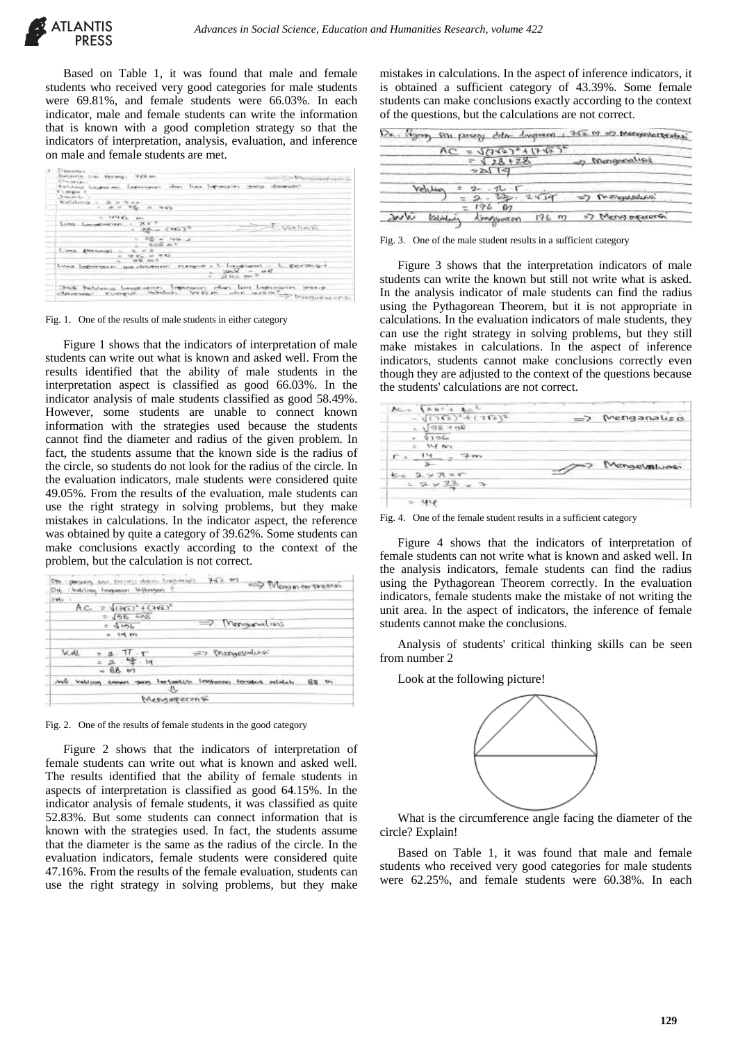

Based on Table 1, it was found that male and female students who received very good categories for male students were 69.81%, and female students were 66.03%. In each indicator, male and female students can write the information that is known with a good completion strategy so that the indicators of interpretation, analysis, evaluation, and inference on male and female students are met.

| <b>Demanded</b>                                 |                                                                             |                                                                  |                 |
|-------------------------------------------------|-----------------------------------------------------------------------------|------------------------------------------------------------------|-----------------|
| Entraverse Cass December.                       | Wallis and                                                                  |                                                                  | - Meinigeneting |
|                                                 |                                                                             |                                                                  |                 |
| <b>Statutung, Graphic Min.</b><br>Thusings in   |                                                                             |                                                                  |                 |
| Distances for 11                                |                                                                             |                                                                  |                 |
| anatista erra.                                  |                                                                             |                                                                  |                 |
| ÷                                               |                                                                             |                                                                  |                 |
|                                                 | <b>LANCE</b><br>$***$                                                       |                                                                  |                 |
| <b>ELIMIN</b><br>Live address front             | $75.5 - 3$<br>$\sim$<br><b>RELL CYELS</b>                                   | <b>Mon-Tiske Str.</b>                                            |                 |
|                                                 | THIS CAL<br>$k \in \mathbb{Z}$ on $\mathbb{R}$                              |                                                                  |                 |
| <b>Classic</b><br><b>All Way Processing Co.</b> | 98.52                                                                       |                                                                  |                 |
| Late-2 Legislatesians                           | <b>PEACHART</b><br>tam whiteways:                                           | Constitution - C. PRIMAGN<br>$-7$<br>$   -$<br><b>EXTRA</b> WITH |                 |
| Chekoversonna 1.                                | Sea battens temporene. Impressor, cher los tempores preser<br>ringer abduly | APPEAR AND SUPER SEARCHEST CONSIDERED UP OF CH                   |                 |

Fig. 1. One of the results of male students in either category

Figure 1 shows that the indicators of interpretation of male students can write out what is known and asked well. From the results identified that the ability of male students in the interpretation aspect is classified as good 66.03%. In the indicator analysis of male students classified as good 58.49%. However, some students are unable to connect known information with the strategies used because the students cannot find the diameter and radius of the given problem. In fact, the students assume that the known side is the radius of the circle, so students do not look for the radius of the circle. In the evaluation indicators, male students were considered quite 49.05%. From the results of the evaluation, male students can use the right strategy in solving problems, but they make mistakes in calculations. In the indicator aspect, the reference was obtained by quite a category of 39.62%. Some students can make conclusions exactly according to the context of the problem, but the calculation is not correct.

| Disk Edwood and Dertakt daters formats<br>: Well-Links, Tongkosser: Stickenhem,<br>D <sub>ik</sub> | 743.67<br>-> Meason tor pretain                               |
|----------------------------------------------------------------------------------------------------|---------------------------------------------------------------|
| $3.84\times$                                                                                       |                                                               |
| $AC = 117673^* + (7173)^*$                                                                         |                                                               |
| $= 198 + 408$<br>$-4126$<br>$=14m$                                                                 | $\Rightarrow$ Mengunations                                    |
| M.A.<br>$= 2 - 11 - r$<br>$= 2.92 \cdot 19$<br>$-88$ $m$                                           | => mengendure                                                 |
| reds welching seemen.<br>э.                                                                        | in the tuestich, finalyzation from daily<br>88.15<br>ociolati |
| Menourecons                                                                                        |                                                               |

Fig. 2. One of the results of female students in the good category

Figure 2 shows that the indicators of interpretation of female students can write out what is known and asked well. The results identified that the ability of female students in aspects of interpretation is classified as good 64.15%. In the indicator analysis of female students, it was classified as quite 52.83%. But some students can connect information that is known with the strategies used. In fact, the students assume that the diameter is the same as the radius of the circle. In the evaluation indicators, female students were considered quite 47.16%. From the results of the female evaluation, students can use the right strategy in solving problems, but they make

mistakes in calculations. In the aspect of inference indicators, it is obtained a sufficient category of 43.39%. Some female students can make conclusions exactly according to the context of the questions, but the calculations are not correct.

|                | $AC = \sqrt{(162)^2 + (162)^2}$ |                  |
|----------------|---------------------------------|------------------|
|                | $= \sqrt{28 + 28}$              | of Mengenation   |
|                | 2119                            |                  |
| <b>Vehlive</b> | $2 - 7 - 7$                     |                  |
|                | $2 - 12 - 241 -$                | => Theroughbours |

Fig. 3. One of the male student results in a sufficient category

Figure 3 shows that the interpretation indicators of male students can write the known but still not write what is asked. In the analysis indicator of male students can find the radius using the Pythagorean Theorem, but it is not appropriate in calculations. In the evaluation indicators of male students, they can use the right strategy in solving problems, but they still make mistakes in calculations. In the aspect of inference indicators, students cannot make conclusions correctly even though they are adjusted to the context of the questions because the students' calculations are not correct.

| Ac.                     |              |
|-------------------------|--------------|
| $(12)^4 + (12)^6$       | Menganalisis |
| <b>GS-4-62</b>          |              |
| 0.1056                  |              |
| $12.8$ form             |              |
|                         |              |
|                         | Mengevaluasi |
| $2 \times \pi \times r$ |              |
| $2 \times 22$           |              |
|                         |              |
| પ્રપર                   |              |

Fig. 4. One of the female student results in a sufficient category

Figure 4 shows that the indicators of interpretation of female students can not write what is known and asked well. In the analysis indicators, female students can find the radius using the Pythagorean Theorem correctly. In the evaluation indicators, female students make the mistake of not writing the unit area. In the aspect of indicators, the inference of female students cannot make the conclusions.

Analysis of students' critical thinking skills can be seen from number 2

Look at the following picture!



What is the circumference angle facing the diameter of the circle? Explain!

Based on Table 1, it was found that male and female students who received very good categories for male students were 62.25%, and female students were 60.38%. In each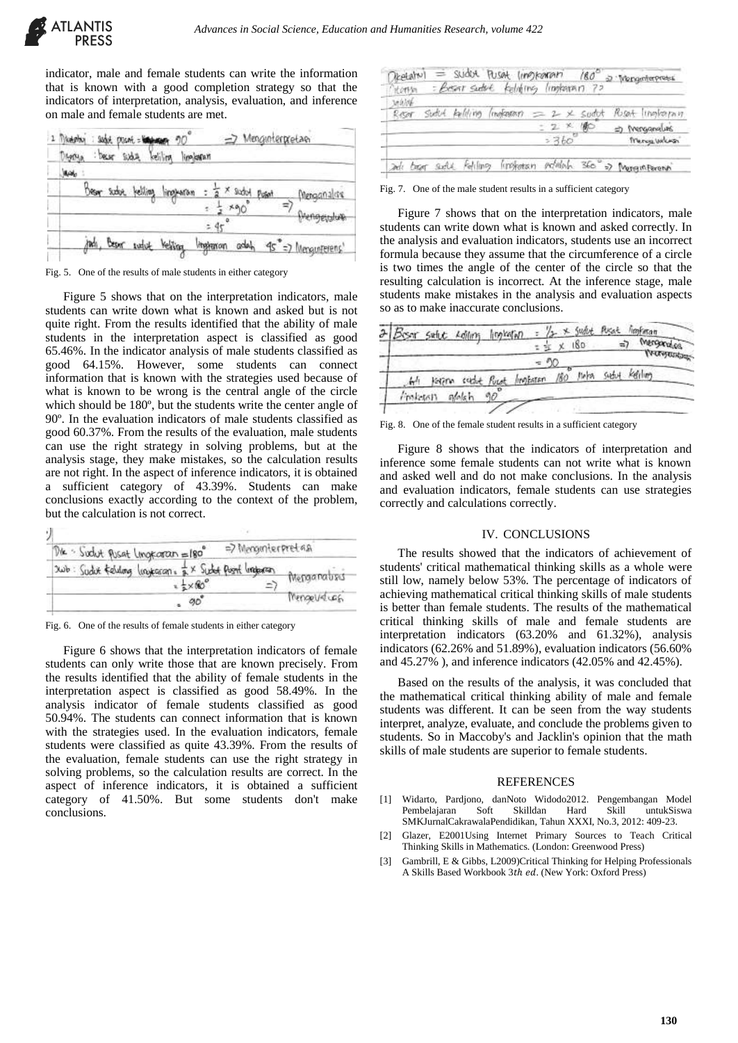

indicator, male and female students can write the information that is known with a good completion strategy so that the indicators of interpretation, analysis, evaluation, and inference on male and female students are met.

| Montya       | 2 Michelery : subjet prison = 100 members 90<br>: bear sudur helilion lingituran |                                                                         | => Menginterpretaen |
|--------------|----------------------------------------------------------------------------------|-------------------------------------------------------------------------|---------------------|
| <b>Maido</b> |                                                                                  |                                                                         |                     |
|              | <u>Bear sidor belling lingbaran : "</u>                                          | $\frac{1}{2}$ x such puted                                              | Menganalise         |
|              |                                                                                  |                                                                         | Prengendum          |
|              |                                                                                  |                                                                         |                     |
|              |                                                                                  | jimh, Bean Weble Yelling I <del>ngia</del> non adah 95°=7 Mangunierens' |                     |

Fig. 5. One of the results of male students in either category

Figure 5 shows that on the interpretation indicators, male students can write down what is known and asked but is not quite right. From the results identified that the ability of male students in the interpretation aspect is classified as good 65.46%. In the indicator analysis of male students classified as good 64.15%. However, some students can connect information that is known with the strategies used because of what is known to be wrong is the central angle of the circle which should be 180º, but the students write the center angle of 90º. In the evaluation indicators of male students classified as good 60.37%. From the results of the evaluation, male students can use the right strategy in solving problems, but at the analysis stage, they make mistakes, so the calculation results are not right. In the aspect of inference indicators, it is obtained a sufficient category of 43.39%. Students can make conclusions exactly according to the context of the problem, but the calculation is not correct.

| Die · Sudut Pusat Ungegran = 180                                               | => Menginterpretas |              |
|--------------------------------------------------------------------------------|--------------------|--------------|
| 2006: Sudut felding lingkaran, & x Sudot Push lingboran<br>$4 \times 60^\circ$ |                    | Mongarabsis  |
| 90<br>٠                                                                        |                    | Mengeveluss. |

Fig. 6. One of the results of female students in either category

Figure 6 shows that the interpretation indicators of female students can only write those that are known precisely. From the results identified that the ability of female students in the interpretation aspect is classified as good 58.49%. In the analysis indicator of female students classified as good 50.94%. The students can connect information that is known with the strategies used. In the evaluation indicators, female students were classified as quite 43.39%. From the results of the evaluation, female students can use the right strategy in solving problems, so the calculation results are correct. In the aspect of inference indicators, it is obtained a sufficient category of 41.50%. But some students don't make conclusions.

| 地域体  |  |                         |       |                 |
|------|--|-------------------------|-------|-----------------|
| kear |  | Sudut telling (mekanar) |       | Roset lingharan |
|      |  |                         | 2 火 働 | therepeaned to  |
|      |  |                         |       | Trunge values   |

Fig. 7. One of the male student results in a sufficient category

Figure 7 shows that on the interpretation indicators, male students can write down what is known and asked correctly. In the analysis and evaluation indicators, students use an incorrect formula because they assume that the circumference of a circle is two times the angle of the center of the circle so that the resulting calculation is incorrect. At the inference stage, male students make mistakes in the analysis and evaluation aspects so as to make inaccurate conclusions.

| Besor swhite realing limitation |        |    |                                       |   | 180 | ≕     | Merganakes<br><b>TV-ON-SOUNDERS</b> |  |
|---------------------------------|--------|----|---------------------------------------|---|-----|-------|-------------------------------------|--|
|                                 |        |    | person sucht Pucet Impteren 180 Meter | w |     | Subut | Kerling                             |  |
| Francist                        | alolah | ۹O |                                       |   |     |       |                                     |  |

Fig. 8. One of the female student results in a sufficient category

Figure 8 shows that the indicators of interpretation and inference some female students can not write what is known and asked well and do not make conclusions. In the analysis and evaluation indicators, female students can use strategies correctly and calculations correctly.

# IV. CONCLUSIONS

The results showed that the indicators of achievement of students' critical mathematical thinking skills as a whole were still low, namely below 53%. The percentage of indicators of achieving mathematical critical thinking skills of male students is better than female students. The results of the mathematical critical thinking skills of male and female students are interpretation indicators (63.20% and 61.32%), analysis indicators (62.26% and 51.89%), evaluation indicators (56.60% and 45.27% ), and inference indicators (42.05% and 42.45%).

Based on the results of the analysis, it was concluded that the mathematical critical thinking ability of male and female students was different. It can be seen from the way students interpret, analyze, evaluate, and conclude the problems given to students. So in Maccoby's and Jacklin's opinion that the math skills of male students are superior to female students.

## **REFERENCES**

- [1] Widarto, Pardjono, danNoto Widodo2012. Pengembangan Model Pembelajaran SMKJurnalCakrawalaPendidikan, Tahun XXXI, No.3, 2012: 409-23.
- [2] Glazer, E2001Using Internet Primary Sources to Teach Critical Thinking Skills in Mathematics. (London: Greenwood Press)
- [3] Gambrill, E & Gibbs, L2009)Critical Thinking for Helping Professionals A Skills Based Workbook 3th ed. (New York: Oxford Press)